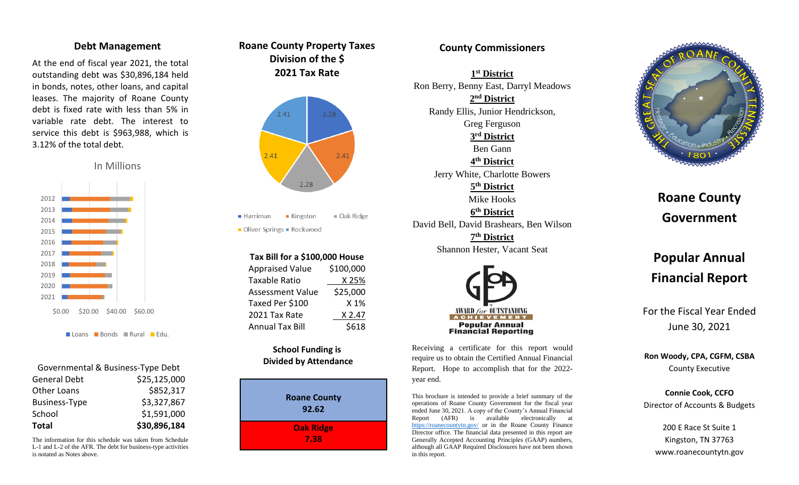### **Debt Management**

At the end of fiscal year 202 1, the total outstanding debt was \$ 30,896,184 held in bonds, notes, other loans, and capital leases. The majority of Roane County debt is fixed rate with less than 5 % in variable rate debt. The interest to service this debt is \$963,988, which is 3.12 % of the total debt.

In Millions



Loans Bonds Rural Edu.

| Governmental & Business-Type Debt |              |
|-----------------------------------|--------------|
| <b>General Debt</b>               | \$25,125,000 |
| <b>Other Loans</b>                | \$852,317    |
| <b>Business-Type</b>              | \$3,327,867  |
| School                            | \$1,591,000  |
| <b>Total</b>                      | \$30,896,184 |

The information for this schedule was taken from Schedule L-1 and L-2 of the AFR. The debt for business-type activities is notated as Notes above.





 $\blacksquare$  Harriman ■ Kingston  $\blacksquare$  Oak Ridge

Oliver Springs - Rockwood

| Tax Bill for a \$100,000 House |           |
|--------------------------------|-----------|
| <b>Appraised Value</b>         | \$100,000 |
| Taxable Ratio                  | X 25%     |
| <b>Assessment Value</b>        | \$25,000  |
| Taxed Per \$100                | X 1%      |
| 2021 Tax Rate                  | X 2.47    |
| <b>Annual Tax Bill</b>         | \$618     |

## **School Funding is Divided by Attendance**



## **County Commissioners**

**1 st District** Ron Berry, Benny East, Darryl Meadows **2 nd District** Randy Ellis, Junior Hendrickson, Greg Ferguson **3 rd District** Ben Gann **4 th District** Jerry White, Charlotte Bowers **5 th District** Mike Hooks **6 th District** David Bell, David Brashears, Ben Wilson **7 th District** Shannon Hester, Vacant Seat



Receiving a certificate for this report would require us to obtain the Certified Annual Financial Report. Hope to accomplish that for the 202 2 year end.

This brochure is intended to provide a brief summary of the operations of Roane County Government for the fiscal year ended June 30, 202 1. A copy of the County's Annual Financial Report (AFR) is available electronically at <https://roanecountytn.gov/> or in the Roane County Finance Director office. The financial data presented in this report are Generally Accepted Accounting Principles (GAAP) numbers, although all GAAP Required Disclosures have not been shown in this report.



# **Roane County Government**

## **Popular Annual Financial Report**

For the Fiscal Year Ended June 30, 20 2 1

**Ron Woody, CPA, CG FM, CSBA** County Executive

**Connie Cook, CCFO** Director of Accounts & Budgets

> 200 E Race St Suite 1 Kingston, TN 37763 www.roanecountytn.gov